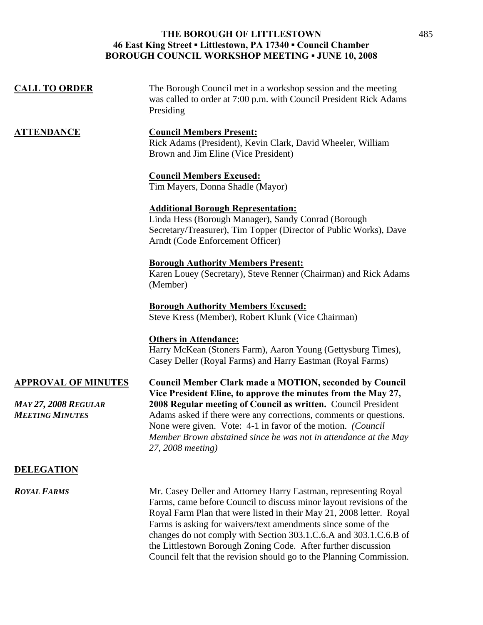## **THE BOROUGH OF LITTLESTOWN 46 East King Street ▪ Littlestown, PA 17340 ▪ Council Chamber BOROUGH COUNCIL WORKSHOP MEETING ▪ JUNE 10, 2008**

| <b>CALL TO ORDER</b>                                                                | The Borough Council met in a workshop session and the meeting<br>was called to order at 7:00 p.m. with Council President Rick Adams<br>Presiding                                                                                                                                                                                                                                                                              |
|-------------------------------------------------------------------------------------|-------------------------------------------------------------------------------------------------------------------------------------------------------------------------------------------------------------------------------------------------------------------------------------------------------------------------------------------------------------------------------------------------------------------------------|
| <u>ATTENDANCE</u>                                                                   | <b>Council Members Present:</b><br>Rick Adams (President), Kevin Clark, David Wheeler, William<br>Brown and Jim Eline (Vice President)                                                                                                                                                                                                                                                                                        |
|                                                                                     | <b>Council Members Excused:</b><br>Tim Mayers, Donna Shadle (Mayor)                                                                                                                                                                                                                                                                                                                                                           |
|                                                                                     | <b>Additional Borough Representation:</b><br>Linda Hess (Borough Manager), Sandy Conrad (Borough<br>Secretary/Treasurer), Tim Topper (Director of Public Works), Dave<br>Arndt (Code Enforcement Officer)                                                                                                                                                                                                                     |
|                                                                                     | <b>Borough Authority Members Present:</b><br>Karen Louey (Secretary), Steve Renner (Chairman) and Rick Adams<br>(Member)                                                                                                                                                                                                                                                                                                      |
|                                                                                     | <b>Borough Authority Members Excused:</b><br>Steve Kress (Member), Robert Klunk (Vice Chairman)                                                                                                                                                                                                                                                                                                                               |
|                                                                                     | <b>Others in Attendance:</b><br>Harry McKean (Stoners Farm), Aaron Young (Gettysburg Times),<br>Casey Deller (Royal Farms) and Harry Eastman (Royal Farms)                                                                                                                                                                                                                                                                    |
| <b>APPROVAL OF MINUTES</b><br><b>MAY 27, 2008 REGULAR</b><br><b>MEETING MINUTES</b> | <b>Council Member Clark made a MOTION, seconded by Council</b><br>Vice President Eline, to approve the minutes from the May 27,<br>2008 Regular meeting of Council as written. Council President<br>Adams asked if there were any corrections, comments or questions.<br>None were given. Vote: 4-1 in favor of the motion. (Council<br>Member Brown abstained since he was not in attendance at the May<br>27, 2008 meeting) |
| <b>DELEGATION</b>                                                                   |                                                                                                                                                                                                                                                                                                                                                                                                                               |
| <b>ROYAL FARMS</b>                                                                  | Mr. Casey Deller and Attorney Harry Eastman, representing Royal<br>Farms, came before Council to discuss minor layout revisions of the<br>Royal Farm Plan that were listed in their May 21, 2008 letter. Royal                                                                                                                                                                                                                |

Farms is asking for waivers/text amendments since some of the changes do not comply with Section 303.1.C.6.A and 303.1.C.6.B of the Littlestown Borough Zoning Code. After further discussion Council felt that the revision should go to the Planning Commission.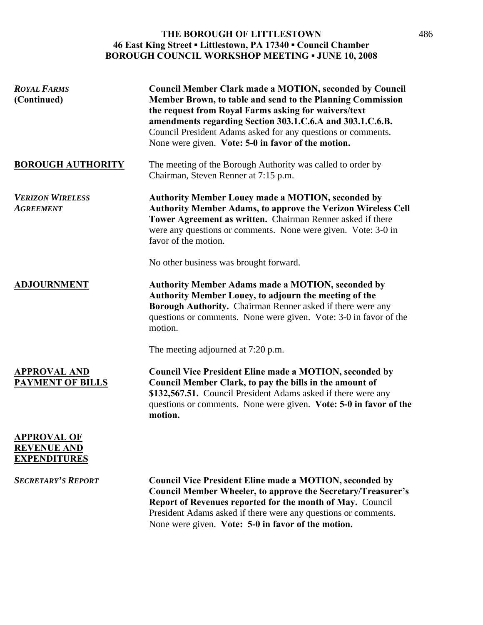## **THE BOROUGH OF LITTLESTOWN 46 East King Street ▪ Littlestown, PA 17340 ▪ Council Chamber BOROUGH COUNCIL WORKSHOP MEETING ▪ JUNE 10, 2008**

| <b>ROYAL FARMS</b><br>(Continued)                               | <b>Council Member Clark made a MOTION, seconded by Council</b><br>Member Brown, to table and send to the Planning Commission<br>the request from Royal Farms asking for waivers/text<br>amendments regarding Section 303.1.C.6.A and 303.1.C.6.B.<br>Council President Adams asked for any questions or comments.<br>None were given. Vote: 5-0 in favor of the motion. |
|-----------------------------------------------------------------|-------------------------------------------------------------------------------------------------------------------------------------------------------------------------------------------------------------------------------------------------------------------------------------------------------------------------------------------------------------------------|
| <b>BOROUGH AUTHORITY</b>                                        | The meeting of the Borough Authority was called to order by<br>Chairman, Steven Renner at 7:15 p.m.                                                                                                                                                                                                                                                                     |
| <b>VERIZON WIRELESS</b><br><b>AGREEMENT</b>                     | <b>Authority Member Louey made a MOTION, seconded by</b><br>Authority Member Adams, to approve the Verizon Wireless Cell<br>Tower Agreement as written. Chairman Renner asked if there<br>were any questions or comments. None were given. Vote: 3-0 in<br>favor of the motion.                                                                                         |
|                                                                 | No other business was brought forward.                                                                                                                                                                                                                                                                                                                                  |
| <b>ADJOURNMENT</b>                                              | <b>Authority Member Adams made a MOTION, seconded by</b><br>Authority Member Louey, to adjourn the meeting of the<br>Borough Authority. Chairman Renner asked if there were any<br>questions or comments. None were given. Vote: 3-0 in favor of the<br>motion.                                                                                                         |
|                                                                 | The meeting adjourned at 7:20 p.m.                                                                                                                                                                                                                                                                                                                                      |
| <b>APPROVAL AND</b><br><b>PAYMENT OF BILLS</b>                  | <b>Council Vice President Eline made a MOTION, seconded by</b><br>Council Member Clark, to pay the bills in the amount of<br>\$132,567.51. Council President Adams asked if there were any<br>questions or comments. None were given. Vote: 5-0 in favor of the<br>motion.                                                                                              |
| <b>APPROVAL OF</b><br><b>REVENUE AND</b><br><b>EXPENDITURES</b> |                                                                                                                                                                                                                                                                                                                                                                         |
| <b>SECRETARY'S REPORT</b>                                       | <b>Council Vice President Eline made a MOTION, seconded by</b><br><b>Council Member Wheeler, to approve the Secretary/Treasurer's</b><br>Report of Revenues reported for the month of May. Council<br>President Adams asked if there were any questions or comments.<br>None were given. Vote: 5-0 in favor of the motion.                                              |